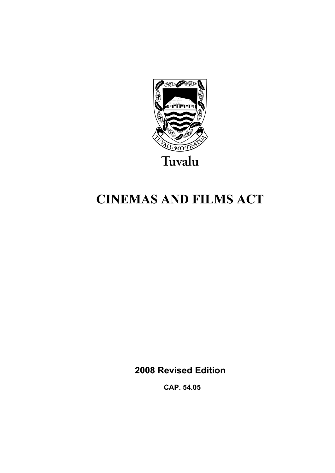

# **CINEMAS AND FILMS ACT**

**2008 Revised Edition** 

 **CAP. 54.05**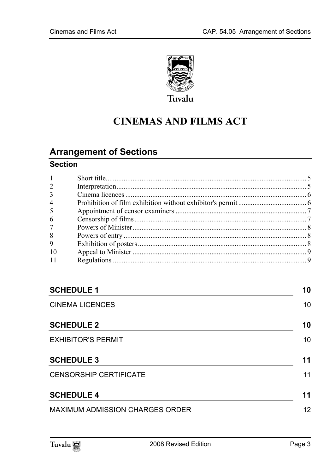

## **CINEMAS AND FILMS ACT**

## **Arrange[ment of Sections](#page-5-0)**

## **Section**

| $\mathbf{1}$   |  |
|----------------|--|
| $\overline{2}$ |  |
| 3              |  |
| $\overline{4}$ |  |
| 5              |  |
| 6              |  |
| $7^{\circ}$    |  |
| 8              |  |
| 9              |  |
| 10             |  |
| 11             |  |
|                |  |

| <b>SCHEDULE 1</b>               |                 |  |
|---------------------------------|-----------------|--|
| <b>CINEMA LICENCES</b>          | 10 <sup>1</sup> |  |
| <b>SCHEDULE 2</b>               | 10              |  |
| <b>EXHIBITOR'S PERMIT</b>       | 10              |  |
| <b>SCHEDULE 3</b>               | 11              |  |
| <b>CENSORSHIP CERTIFICATE</b>   | 11              |  |
| <b>SCHEDULE 4</b>               | 11              |  |
| MAXIMUM ADMISSION CHARGES ORDER | 12 <sup>2</sup> |  |

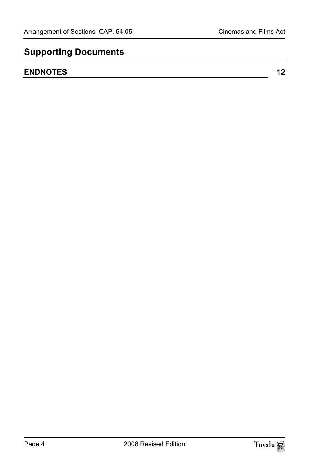## **Supporting Documents**

## **ENDNOTES** 12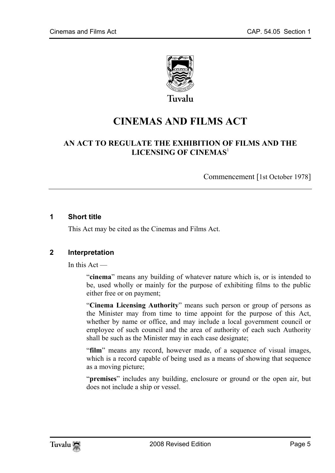

Tuvalu

## **CINEMAS AND FILMS ACT**

## **AN ACT TO REGULATE THE EXHIBITION OF FILMS AND THE LICENSING OF CINEMAS**<sup>1</sup>

Commencement [1st October 1978]

#### **1 Short title**

<span id="page-4-0"></span>This Act may be cited as the Cinemas and Films Act.

#### **2 Interpretation**

In this Act —

"**cinema**" means any building of whatever nature which is, or is intended to be, used wholly or mainly for the purpose of exhibiting films to the public either free or on payment;

"**Cinema Licensing Authority**" means such person or group of persons as the Minister may from time to time appoint for the purpose of this Act, whether by name or office, and may include a local government council or employee of such council and the area of authority of each such Authority shall be such as the Minister may in each case designate;

"**film**" means any record, however made, of a sequence of visual images, which is a record capable of being used as a means of showing that sequence as a moving picture;

"**premises**" includes any building, enclosure or ground or the open air, but does not include a ship or vessel.

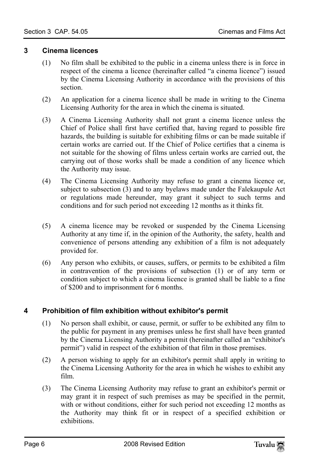#### **3 Cinema licences**

- <span id="page-5-0"></span>(1) No film shall be exhibited to the public in a cinema unless there is in force in respect of the cinema a licence (hereinafter called "a cinema licence") issued by the Cinema Licensing Authority in accordance with the provisions of this section.
- (2) An application for a cinema licence shall be made in writing to the Cinema Licensing Authority for the area in which the cinema is situated.
- (3) A Cinema Licensing Authority shall not grant a cinema licence unless the Chief of Police shall first have certified that, having regard to possible fire hazards, the building is suitable for exhibiting films or can be made suitable if certain works are carried out. If the Chief of Police certifies that a cinema is not suitable for the showing of films unless certain works are carried out, the carrying out of those works shall be made a condition of any licence which the Authority may issue.
- (4) The Cinema Licensing Authority may refuse to grant a cinema licence or, subject to subsection (3) and to any byelaws made under the Falekaupule Act or regulations made hereunder, may grant it subject to such terms and conditions and for such period not exceeding 12 months as it thinks fit.
- (5) A cinema licence may be revoked or suspended by the Cinema Licensing Authority at any time if, in the opinion of the Authority, the safety, health and convenience of persons attending any exhibition of a film is not adequately provided for.
- (6) Any person who exhibits, or causes, suffers, or permits to be exhibited a film in contravention of the provisions of subsection (1) or of any term or condition subject to which a cinema licence is granted shall be liable to a fine of \$200 and to imprisonment for 6 months.

#### **4 Prohibition of film exhibition without exhibitor's permit**

- (1) No person shall exhibit, or cause, permit, or suffer to be exhibited any film to the public for payment in any premises unless he first shall have been granted by the Cinema Licensing Authority a permit (hereinafter called an "exhibitor's permit") valid in respect of the exhibition of that film in those premises.
- (2) A person wishing to apply for an exhibitor's permit shall apply in writing to the Cinema Licensing Authority for the area in which he wishes to exhibit any film.
- (3) The Cinema Licensing Authority may refuse to grant an exhibitor's permit or may grant it in respect of such premises as may be specified in the permit, with or without conditions, either for such period not exceeding 12 months as the Authority may think fit or in respect of a specified exhibition or exhibitions.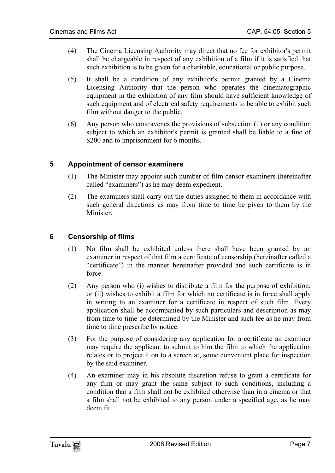- (4) The Cinema Licensing Authority may direct that no fee for exhibitor's permit shall be chargeable in respect of any exhibition of a film if it is satisfied that such exhibition is to be given for a charitable, educational or public purpose.
- (5) It shall be a condition of any exhibitor's permit granted by a Cinema Licensing Authority that the person who operates the cinematographic equipment in the exhibition of any film should have sufficient knowledge of such equipment and of electrical safety requirements to be able to exhibit such film without danger to the public.
- (6) Any person who contravenes the provisions of subsection (1) or any condition subject to which an exhibitor's permit is granted shall be liable to a fine of \$200 and to imprisonment for 6 months.

#### **5 Appointment of censor examiners**

- (1) The Minister may appoint such number of film censor examiners (hereinafter called "examiners") as he may deem expedient.
- <span id="page-6-0"></span>(2) The examiners shall carry out the duties assigned to them in accordance with such general directions as may from time to time be given to them by the Minister.

#### **6 Censorship of films**

- (1) No film shall be exhibited unless there shall have been granted by an examiner in respect of that film a certificate of censorship (hereinafter called a "certificate") in the manner hereinafter provided and such certificate is in force.
- (2) Any person who (i) wishes to distribute a film for the purpose of exhibition; or (ii) wishes to exhibit a film for which no certificate is in force shall apply in writing to an examiner for a certificate in respect of such film. Every application shall be accompanied by such particulars and description as may from time to time be determined by the Minister and such fee as he may from time to time prescribe by notice.
- (3) For the purpose of considering any application for a certificate an examiner may require the applicant to submit to him the film to which the application relates or to project it on to a screen at, some convenient place for inspection by the said examiner.
- (4) An examiner may in his absolute discretion refuse to grant a certificate for any film or may grant the same subject to such conditions, including a condition that a film shall not be exhibited otherwise than in a cinema or that a film shall not be exhibited to any person under a specified age, as he may deem fit.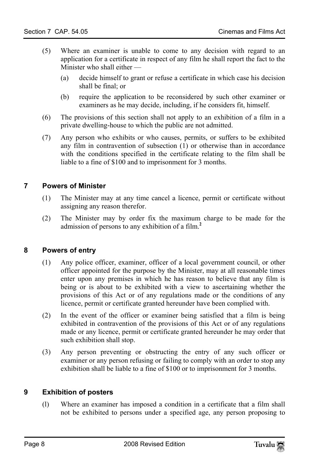- (5) Where an examiner is unable to come to any decision with regard to an application for a certificate in respect of any film he shall report the fact to the Minister who shall either —
	- (a) decide himself to grant or refuse a certificate in which case his decision shall be final; or
	- (b) require the application to be reconsidered by such other examiner or examiners as he may decide, including, if he considers fit, himself.
- (6) The provisions of this section shall not apply to an exhibition of a film in a private dwelling-house to which the public are not admitted.
- <span id="page-7-0"></span>(7) Any person who exhibits or who causes, permits, or suffers to be exhibited any film in contravention of subsection (1) or otherwise than in accordance with the conditions specified in the certificate relating to the film shall be liable to a fine of \$100 and to imprisonment for 3 months.

#### **7 Powers of Minister**

- (1) The Minister may at any time cancel a licence, permit or certificate without assigning any reason therefor.
- <span id="page-7-1"></span>(2) The Minister may by order fix the maximum charge to be made for the admission of persons to any exhibition of a film.**<sup>2</sup>**

#### **8 Powers of entry**

- (1) Any police officer, examiner, officer of a local government council, or other officer appointed for the purpose by the Minister, may at all reasonable times enter upon any premises in which he has reason to believe that any film is being or is about to be exhibited with a view to ascertaining whether the provisions of this Act or of any regulations made or the conditions of any licence, permit or certificate granted hereunder have been complied with.
- (2) In the event of the officer or examiner being satisfied that a film is being exhibited in contravention of the provisions of this Act or of any regulations made or any licence, permit or certificate granted hereunder he may order that such exhibition shall stop.
- <span id="page-7-2"></span>(3) Any person preventing or obstructing the entry of any such officer or examiner or any person refusing or failing to comply with an order to stop any exhibition shall be liable to a fine of \$100 or to imprisonment for 3 months.

#### **9 Exhibition of posters**

(l) Where an examiner has imposed a condition in a certificate that a film shall not be exhibited to persons under a specified age, any person proposing to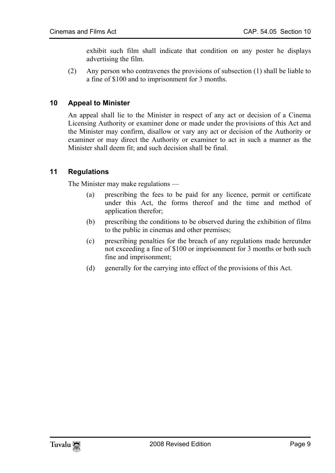<span id="page-8-0"></span>exhibit such film shall indicate that condition on any poster he displays advertising the film.

(2) Any person who contravenes the provisions of subsection (1) shall be liable to a fine of \$100 and to imprisonment for 3 months.

#### **10 Appeal to Minister**

<span id="page-8-1"></span>An appeal shall lie to the Minister in respect of any act or decision of a Cinema Licensing Authority or examiner done or made under the provisions of this Act and the Minister may confirm, disallow or vary any act or decision of the Authority or examiner or may direct the Authority or examiner to act in such a manner as the Minister shall deem fit; and such decision shall be final.

#### **11 Regulations**

The Minister may make regulations —

- (a) prescribing the fees to be paid for any licence, permit or certificate under this Act, the forms thereof and the time and method of application therefor;
- (b) prescribing the conditions to be observed during the exhibition of films to the public in cinemas and other premises;
- (c) prescribing penalties for the breach of any regulations made hereunder not exceeding a fine of \$100 or imprisonment for 3 months or both such fine and imprisonment;
- (d) generally for the carrying into effect of the provisions of this Act.

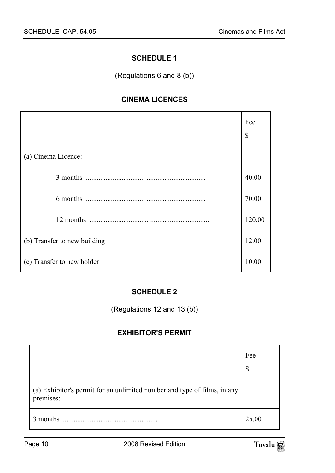#### <span id="page-9-1"></span><span id="page-9-0"></span>**SCHEDULE 1**

(Regulations 6 and 8 (b))

#### **CINEMA LICENCES**

|                              | Fee<br>\$ |
|------------------------------|-----------|
| (a) Cinema Licence:          |           |
|                              | 40.00     |
|                              | 70.00     |
|                              | 120.00    |
| (b) Transfer to new building |           |
| (c) Transfer to new holder   |           |

## <span id="page-9-3"></span><span id="page-9-2"></span>**SCHEDULE 2**

(Regulations 12 and 13 (b))

#### **EXHIBITOR'S PERMIT**

|                                                                                       | Fee<br>S |
|---------------------------------------------------------------------------------------|----------|
| (a) Exhibitor's permit for an unlimited number and type of films, in any<br>premises: |          |
| 3 months                                                                              | 25.00    |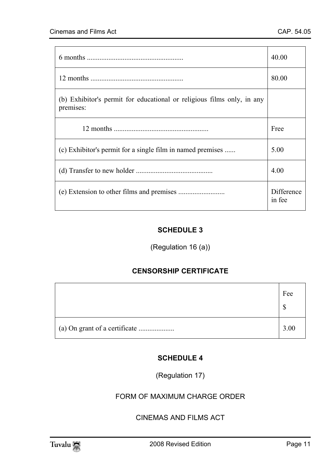|                                                                                     | 40.00 |
|-------------------------------------------------------------------------------------|-------|
|                                                                                     | 80.00 |
| (b) Exhibitor's permit for educational or religious films only, in any<br>premises: |       |
|                                                                                     | Free  |
| (c) Exhibitor's permit for a single film in named premises                          |       |
|                                                                                     |       |
|                                                                                     |       |

## <span id="page-10-1"></span><span id="page-10-0"></span>**SCHEDULE 3**

## (Regulation 16 (a))

#### **CENSORSHIP CERTIFICATE**

| Fee<br>¢ |
|----------|
| 3.00     |

#### <span id="page-10-2"></span>**SCHEDULE 4**

(Regulation 17)

FORM OF MAXIMUM CHARGE ORDER

## CINEMAS AND FILMS ACT